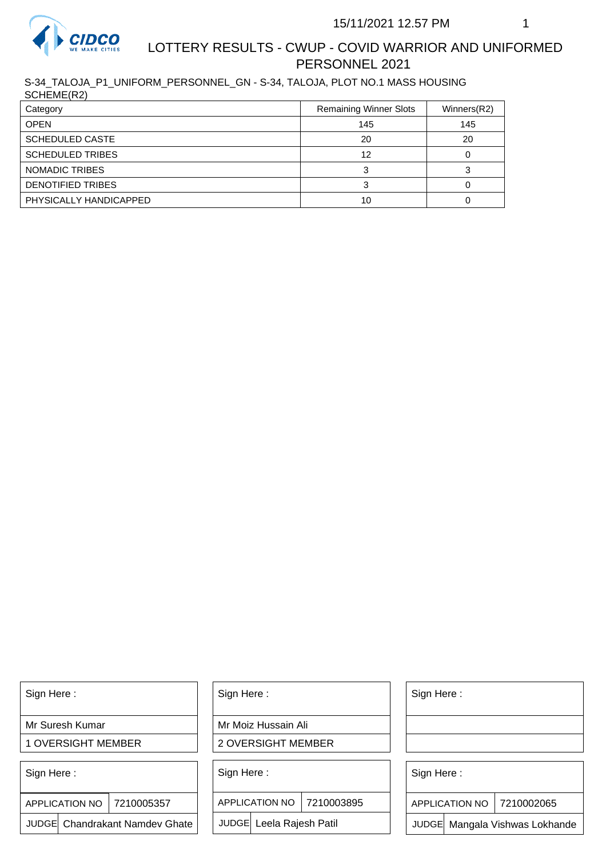

## LOTTERY RESULTS - CWUP - COVID WARRIOR AND UNIFORMED PERSONNEL 2021

S-34\_TALOJA\_P1\_UNIFORM\_PERSONNEL\_GN - S-34, TALOJA, PLOT NO.1 MASS HOUSING SCHEME(R2)

| 00111111111121          |                               |             |
|-------------------------|-------------------------------|-------------|
| Category                | <b>Remaining Winner Slots</b> | Winners(R2) |
| <b>OPEN</b>             | 145                           | 145         |
| <b>SCHEDULED CASTE</b>  | 20                            | 20          |
| <b>SCHEDULED TRIBES</b> | 12                            |             |
| NOMADIC TRIBES          |                               |             |
| DENOTIFIED TRIBES       |                               |             |
| PHYSICALLY HANDICAPPED  | 10                            |             |

Sign Here :

Mr Suresh Kumar

1 OVERSIGHT MEMBER

Sign Here :

7210005357 APPLICATION NO

JUDGE Chandrakant Namdev Ghate

Sign Here :

Mr Moiz Hussain Ali

2 OVERSIGHT MEMBER

Sign Here :

APPLICATION NO 7210003895

JUDGE Leela Rajesh Patil

Sign Here :

Sign Here :

APPLICATION NO | 7210002065

Chandrakant Namdev Ghate  $|\quad|$  JUDGE Leela Rajesh Patil  $|\quad|$  JUDGE Mangala Vishwas Lokhande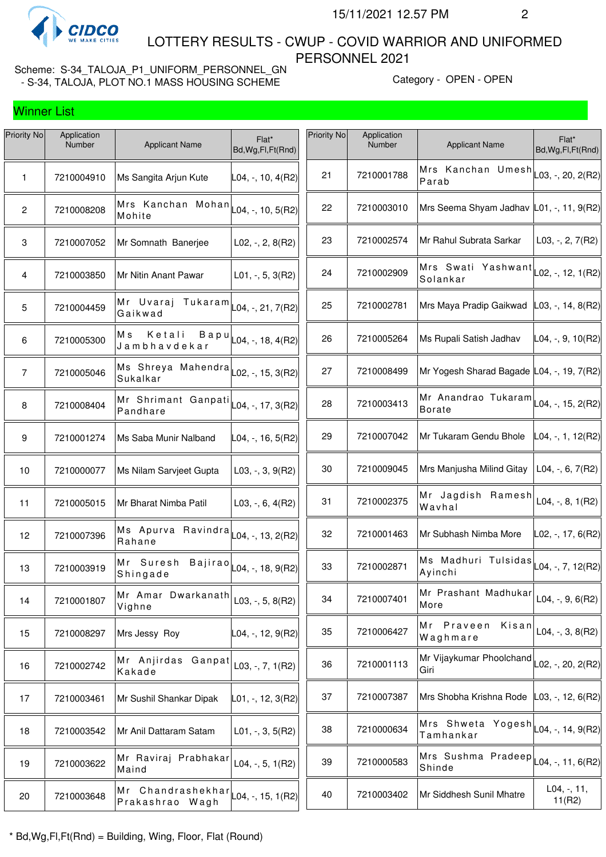

 LOTTERY RESULTS - CWUP - COVID WARRIOR AND UNIFORMED PERSONNEL 2021

Scheme: S-34\_TALOJA\_P1\_UNIFORM\_PERSONNEL\_GN - S-34, TALOJA, PLOT NO.1 MASS HOUSING SCHEME Category - OPEN - OPEN - OPEN

| Priority No     | Application<br>Number | <b>Applicant Name</b>                                                         | Flat*<br>Bd, Wg, Fl, Ft (Rnd)                                     | Priority No | Application<br>Number | <b>Applicant Name</b>                                                   | Flat*<br>Bd, Wg, Fl, Ft (Rnd) |
|-----------------|-----------------------|-------------------------------------------------------------------------------|-------------------------------------------------------------------|-------------|-----------------------|-------------------------------------------------------------------------|-------------------------------|
| 1               | 7210004910            | Ms Sangita Arjun Kute                                                         | $L04, -110, 4(R2)$                                                | 21          | 7210001788            | Mrs Kanchan Umesh<br>Parab                                              | $L$ 03, -, 20, 2(R2)          |
| $\mathbf{2}$    | 7210008208            | Mrs Kanchan Mohan $\vert$ L04, -, 10, 5(R2)<br>Mohite                         |                                                                   | 22          | 7210003010            | Mrs Seema Shyam Jadhav L01, -, 11, 9(R2)                                |                               |
| $\mathbf 3$     | 7210007052            | Mr Somnath Banerjee                                                           | $L02, -2, 8(R2)$                                                  | 23          | 7210002574            | Mr Rahul Subrata Sarkar                                                 | L03, $-$ , 2, $7(R2)$         |
| 4               | 7210003850            | Mr Nitin Anant Pawar                                                          | $L01, -, 5, 3(R2)$                                                | 24          | 7210002909            | Mrs Swati Yashwant<br>Solankar                                          | L02, -, 12, 1(R2)             |
| 5               | 7210004459            | Mr Uvaraj Tukaram<br>Gaikwad                                                  | $\textsf{L04}, \textsf{-}, \textsf{21}, \textsf{7} \textsf{(R2)}$ | 25          | 7210002781            | Mrs Maya Pradip Gaikwad                                                 | $ L03, -, 14, 8(R2) $         |
| 6               | 7210005300            | Ketali<br>Мs<br>Bapu<br>Jambhavdekar                                          | $\vert$ L04, -, 18, 4(R2)                                         | 26          | 7210005264            | Ms Rupali Satish Jadhav                                                 | L04, -, 9, 10(R2)             |
| $\overline{7}$  | 7210005046            | Ms Shreya Mahendra<br>Sukalkar                                                | $\textsf{L}02,$ -, 15, 3(R2)                                      | 27          | 7210008499            | Mr Yogesh Sharad Bagade L04, -, 19, 7(R2)                               |                               |
| 8               | 7210008404            | Mr Shrimant Ganpati $\vert$ L04, -, 17, 3(R2)<br>Pandhare                     |                                                                   | 28          | 7210003413            | Mr Anandrao Tukaram $\vert$ L04, -, 15, 2(R2)<br><b>Borate</b>          |                               |
| 9               | 7210001274            | Ms Saba Munir Nalband                                                         | L04, -, 16, 5(R2)                                                 | 29          | 7210007042            | Mr Tukaram Gendu Bhole                                                  | L04, -, 1, 12(R2)             |
| 10              | 7210000077            | Ms Nilam Sarvjeet Gupta                                                       | $L03, -3, 9(R2)$                                                  | 30          | 7210009045            | Mrs Manjusha Milind Gitay                                               | L04, $-$ , 6, 7(R2)           |
| 11              | 7210005015            | Mr Bharat Nimba Patil                                                         | L03, $-$ , 6, 4(R2)                                               | 31          | 7210002375            | Mr Jagdish Ramesh<br>Wavhal                                             | L04, $-$ , 8, 1(R2)           |
| 12 <sub>2</sub> | 7210007396            | Ms Apurva Ravindra $\vert$ L04, -, 13, 2(R2)<br>Rahane                        |                                                                   | 32          | 7210001463            | Mr Subhash Nimba More                                                   | L02, -, 17, 6(R2)             |
| 13              | 7210003919            | Mr Suresh<br>Shingade                                                         | $B$ ajirao $ $ L04, -, 18, 9(R2)                                  | 33          | 7210002871            | Ms Madhuri Tulsidas<br>Ayinchi                                          | $L04, -7, 12(R2)$             |
| 14              | 7210001807            | Mr Amar Dwarkanath<br>Vighne                                                  | L03, $-$ , 5, 8(R2)                                               | 34          | 7210007401            | Mr Prashant Madhukar<br>More                                            | L04, -, 9, 6(R2)              |
| 15              | 7210008297            | Mrs Jessy Roy                                                                 | L04, -, 12, 9(R2)                                                 | 35          | 7210006427            | Mr Praveen<br>Kisan<br>Waghmare                                         | L04, -, 3, $8(R2)$            |
| 16              | 7210002742            | Mr Anjirdas Ganpat<br>Kakade                                                  | L03, -, 7, $1(R2)$                                                | 36          | 7210001113            | Mr Vijaykumar Phoolchand<br>Giri                                        | L02, -, 20, 2(R2)             |
| 17              | 7210003461            | Mr Sushil Shankar Dipak                                                       | $L01, -, 12, 3(R2)$                                               | 37          | 7210007387            | Mrs Shobha Krishna Rode                                                 | $L03, -12, 6(R2)$             |
| 18              | 7210003542            | Mr Anil Dattaram Satam                                                        | $L01, -3, 5(R2)$                                                  | 38          | 7210000634            | Mrs Shweta Yogesh $\vert_{\text{L04},\text{-, 14, 9(R2)}}$<br>Tamhankar |                               |
| 19              | 7210003622            | Mr Raviraj Prabhakar<br>Maind                                                 | L04, $-$ , 5, 1(R2)                                               | 39          | 7210000583            | -<br> Mrs Sushma Pradeep  <sub>L04, -,</sub> 11,6(R2)<br>Shinde         |                               |
| 20              | 7210003648            | Mr Chandrashekhar $\lfloor 04, \frac{1}{10}, 1082 \rfloor$<br>Prakashrao Wagh |                                                                   | 40          | 7210003402            | Mr Siddhesh Sunil Mhatre                                                | $L04, -, 11,$<br>11(R2)       |
|                 |                       |                                                                               |                                                                   |             |                       |                                                                         |                               |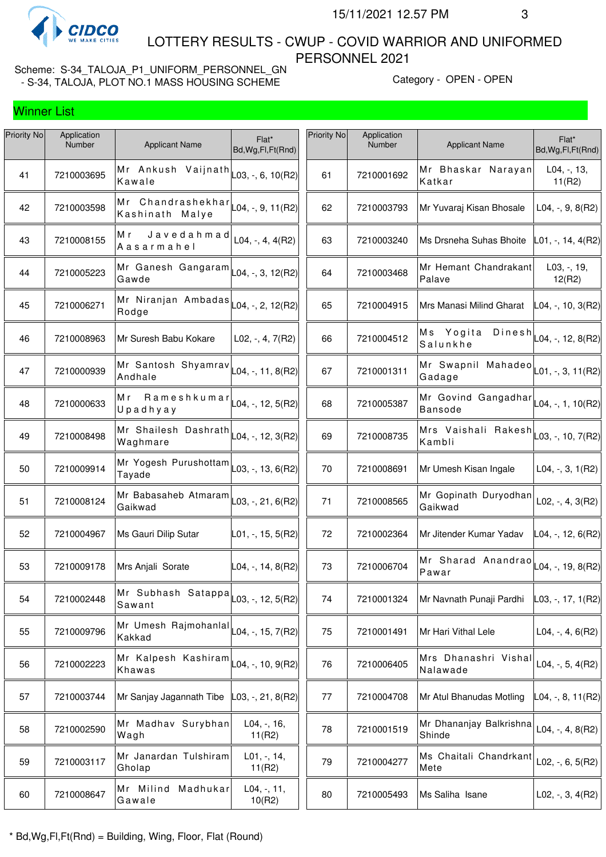

 LOTTERY RESULTS - CWUP - COVID WARRIOR AND UNIFORMED PERSONNEL 2021

Scheme: S-34\_TALOJA\_P1\_UNIFORM\_PERSONNEL\_GN - S-34, TALOJA, PLOT NO.1 MASS HOUSING SCHEME Category - OPEN - OPEN - OPEN

| Priority No | Application<br>Number | <b>Applicant Name</b>                                                    | Flat*<br>Bd, Wg, Fl, Ft (Rnd) | Priority No | Application<br>Number | <b>Applicant Name</b>                                               | Flat*<br>Bd, Wg, Fl, Ft (Rnd)    |
|-------------|-----------------------|--------------------------------------------------------------------------|-------------------------------|-------------|-----------------------|---------------------------------------------------------------------|----------------------------------|
| 41          | 7210003695            | Mr Ankush Vaijnath<br>Kawale                                             | L03, -, 6, 10(R2)             | 61          | 7210001692            | Mr Bhaskar Narayan<br>Katkar                                        | $L04, -13,$<br>11(R2)            |
| 42          | 7210003598            | Mr Chandrashekhar $\vert$ [04, -, 9, 11(R2)]<br>Kashinath Malye          |                               | 62          | 7210003793            | Mr Yuvaraj Kisan Bhosale                                            | $L04, -, 9, 8(R2)$               |
| 43          | 7210008155            | Javedahmad<br>Мr<br>Aasarmahel                                           | $L04, -, 4, 4(R2)$            | 63          | 7210003240            | Ms Drsneha Suhas Bhoite                                             | L01, -, 14, 4(R2)                |
| 44          | 7210005223            | Mr Ganesh Gangaram<br>Gawde                                              | $\textsf{L04}, -$ , 3, 12(R2) | 64          | 7210003468            | Mr Hemant Chandrakant<br>Palave                                     | $L03, -19,$<br>12(R2)            |
| 45          | 7210006271            | Mr Niranjan Ambadas<br>Rodge                                             | L04, -, 2, 12(R2)             | 65          | 7210004915            | Mrs Manasi Milind Gharat                                            | L04, -, 10, 3(R2)                |
| 46          | 7210008963            | Mr Suresh Babu Kokare                                                    | $L02, -, 4, 7(R2)$            | 66          | 7210004512            | Ms Yogita<br>Salunkhe                                               | Dinesh $\vert$ L04, -, 12, 8(R2) |
| 47          | 7210000939            | Mr Santosh Shyamrav<br>Andhale                                           | $ $ L04, -, 11, 8(R2)         | 67          | 7210001311            | Mr Swapnil Mahadeo $ _{\mathsf{L01},\text{-, 3, 11(R2)}}$<br>Gadage |                                  |
| 48          | 7210000633            | $R$ a m e s h k u m a $r _{L04, r}$ , 12, 5(R2)<br>Mr<br>Upadhyay        |                               | 68          | 7210005387            | Mr Govind Gangadhar $\vert$ L04, -, 1, 10(R2)<br><b>Bansode</b>     |                                  |
| 49          | 7210008498            | Mr Shailesh Dashrath $\vert$ L04, -, 12, 3(R2)<br>Waghmare               |                               | 69          | 7210008735            | Mrs Vaishali Rakesh $\vert$ L03, -, 10, 7(R2)<br>Kambli             |                                  |
| 50          | 7210009914            | Mr Yogesh Purushottam<br>Tayade                                          | L03, -, 13, 6(R2)             | 70          | 7210008691            | Mr Umesh Kisan Ingale                                               | $L04, -3, 1(R2)$                 |
| 51          | 7210008124            | Mr Babasaheb Atmaram<br>Gaikwad                                          | $\vert$ L03, -, 21, 6(R2)     | 71          | 7210008565            | Mr Gopinath Duryodhan<br>Gaikwad                                    | $L02, -, 4, 3(R2)$               |
| 52          | 7210004967            | Ms Gauri Dilip Sutar                                                     | L01, -, 15, 5(R2)             | 72          | 7210002364            | Mr Jitender Kumar Yadav                                             | $L04, -12, 6(R2)$                |
| 53          | 7210009178            | Mrs Anjali Sorate                                                        | $ L04, -, 14, 8(R2) $         | 73          | 7210006704            | Mr Sharad Anandrao $\vert$ L04, -, 19, 8(R2)<br>Pawar               |                                  |
| 54          | 7210002448            | Mr Subhash Satappa $\vert$ $_{\lfloor .03,-,12,5(R2) \rfloor}$<br>Sawant |                               | 74          | 7210001324            | Mr Navnath Punaji Pardhi                                            | L03, -, 17, 1(R2)                |
| 55          | 7210009796            | Mr Umesh Rajmohanlal<br>Kakkad                                           | $\textsf{L04},$ -, 15, 7(R2)  | 75          | 7210001491            | Mr Hari Vithal Lele                                                 | $L04, -, 4, 6(R2)$               |
| 56          | 7210002223            | Mr Kalpesh Kashiram<br>Khawas                                            | $L04, -110, 9(R2)$            | 76          | 7210006405            | Mrs Dhanashri Vishal<br>Nalawade                                    | L04, $-$ , 5, 4(R2)              |
| 57          | 7210003744            | Mr Sanjay Jagannath Tibe                                                 | L03, -, 21, 8(R2)             | 77          | 7210004708            | Mr Atul Bhanudas Motling                                            | L04, -, 8, 11(R2)                |
| 58          | 7210002590            | Mr Madhav Surybhan<br>Wagh                                               | $L04, -16,$<br>11(R2)         | 78          | 7210001519            | Mr Dhananjay Balkrishna<br>Shinde                                   | L04, $-$ , 4, 8(R2)              |
| 59          | 7210003117            | Mr Janardan Tulshiram<br>Gholap                                          | $L01, -114,$<br>11(R2)        | 79          | 7210004277            | Ms Chaitali Chandrkant<br>Mete                                      | L02, $-$ , 6, 5(R2)              |
| 60          | 7210008647            | Mr Milind Madhukar<br>Gawale                                             | $L04, -, 11,$<br>10(R2)       | 80          | 7210005493            | Ms Saliha Isane                                                     | L02, $-$ , 3, 4(R2)              |
|             |                       |                                                                          |                               |             |                       |                                                                     |                                  |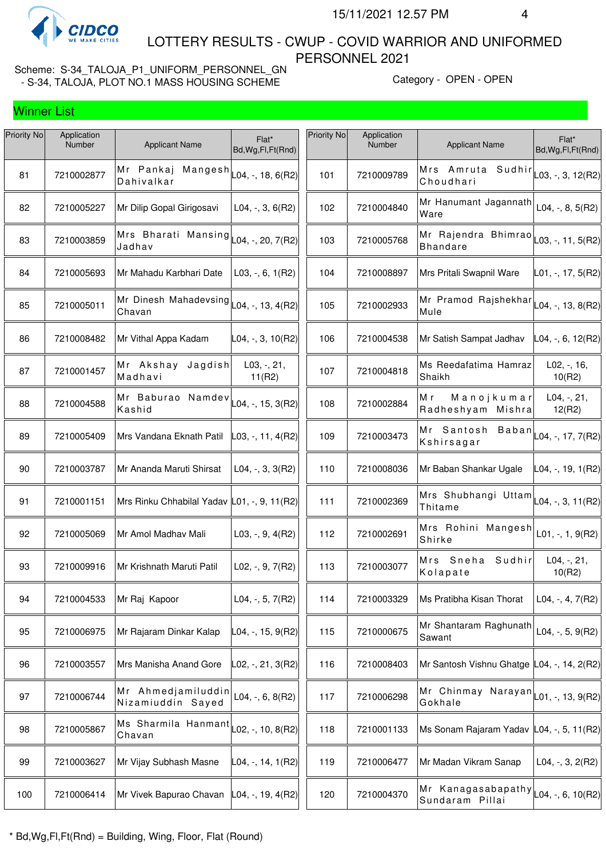

 LOTTERY RESULTS - CWUP - COVID WARRIOR AND UNIFORMED PERSONNEL 2021

Scheme: S-34\_TALOJA\_P1\_UNIFORM\_PERSONNEL\_GN - S-34, TALOJA, PLOT NO.1 MASS HOUSING SCHEME<br>- S-34, TALOJA, PLOT NO.1 MASS HOUSING SCHEME

| Priority No | Application<br>Number | <b>Applicant Name</b>                                                              | Flat*<br>Bd, Wg, Fl, Ft (Rnd) | Priority No | Application<br>Number | <b>Applicant Name</b>                                                              | Flat*<br>Bd, Wg, Fl, Ft (Rnd) |
|-------------|-----------------------|------------------------------------------------------------------------------------|-------------------------------|-------------|-----------------------|------------------------------------------------------------------------------------|-------------------------------|
| 81          | 7210002877            | Mr Pankaj Mangesh<br>Dahivalkar                                                    | $ L04, -, 18, 6(R2) $         | 101         | 7210009789            | Mrs Amruta Sudhir<br>Choudhari                                                     | L03, -, 3, 12(R2)             |
| 82          | 7210005227            | Mr Dilip Gopal Girigosavi                                                          | $L04, -3, 6(R2)$              | 102         | 7210004840            | Mr Hanumant Jagannath<br>Ware                                                      | L04, -, 8, $5(R2)$            |
| 83          | 7210003859            | Mrs Bharati Mansing $\lfloor 04, \frac{\cdot}{20}, \frac{7}{R2} \rfloor$<br>Jadhav |                               | 103         | 7210005768            | Mr Rajendra Bhimrao $\vert$ $_{L03, \, \cdot, \, 11, \, 5(R2)}$<br><b>Bhandare</b> |                               |
| 84          | 7210005693            | Mr Mahadu Karbhari Date                                                            | $L03, -, 6, 1(R2)$            | 104         | 7210008897            | Mrs Pritali Swapnil Ware                                                           | L01, -, 17, 5(R2)             |
| 85          | 7210005011            | Mr Dinesh Mahadevsing $\lfloor 04, \frac{1}{13}, 4(R2) \rfloor$<br>Chavan          |                               | 105         | 7210002933            | Mr Pramod Rajshekhar $\vert$ L04, -, 13, 8(R2)<br>Mule                             |                               |
| 86          | 7210008482            | Mr Vithal Appa Kadam                                                               | L04, -, 3, 10(R2)             | 106         | 7210004538            | Mr Satish Sampat Jadhav                                                            | L04, -, 6, 12(R2)             |
| 87          | 7210001457            | Mr Akshay<br>Jagdish<br>Madhavi                                                    | L03, -, 21,<br>11(R2)         | 107         | 7210004818            | Ms Reedafatima Hamraz<br>Shaikh                                                    | $L02, -16,$<br>10(R2)         |
| 88          | 7210004588            | Mr Baburao Namdev<br>Kashid                                                        | $ $ L04, -, 15, 3(R2)         | 108         | 7210002884            | M r<br>Manojkumar<br>Radheshyam Mishra                                             | $L04, -, 21,$<br>12(R2)       |
| 89          | 7210005409            | Mrs Vandana Eknath Patil                                                           | L03, -, 11, 4(R2)             | 109         | 7210003473            | Mr Santosh Baban $L_{04, -17, 7(R2)}$<br>Kshirsagar                                |                               |
| 90          | 7210003787            | Mr Ananda Maruti Shirsat                                                           | $L04, -3, 3(R2)$              | 110         | 7210008036            | Mr Baban Shankar Ugale                                                             | L04, -, 19, 1(R2)             |
| 91          | 7210001151            | Mrs Rinku Chhabilal Yadav L01, -, 9, 11(R2)                                        |                               | 111         | 7210002369            | Mrs Shubhangi Uttam $L_{04, 7}$ , 3, 11(R2)<br>Thitame                             |                               |
| 92          | 7210005069            | Mr Amol Madhav Mali                                                                | $L03, -, 9, 4(R2)$            | 112         | 7210002691            | Mrs Rohini Mangesh<br>Shirke                                                       | $L01, -, 1, 9(R2)$            |
| 93          | 7210009916            | Mr Krishnath Maruti Patil                                                          | $L02, -, 9, 7(R2)$            | 113         | 7210003077            | Sudhir<br>Mrs Sneha<br>Kolapate                                                    | $L04, -, 21,$<br>10(R2)       |
| 94          | 7210004533            | Mr Raj Kapoor                                                                      | L04, $-$ , 5, 7(R2)           | 114         | 7210003329            | Ms Pratibha Kisan Thorat                                                           | L04, $-$ , 4, 7(R2)           |
| 95          | 7210006975            | Mr Rajaram Dinkar Kalap                                                            | L04, -, 15, 9(R2)             | 115         | 7210000675            | Mr Shantaram Raghunath<br>Sawant                                                   | L04, -, $5, 9(R2)$            |
| 96          | 7210003557            | Mrs Manisha Anand Gore                                                             | L02, -, 21, 3(R2)             | 116         | 7210008403            | Mr Santosh Vishnu Ghatge L04, -, 14, 2(R2)                                         |                               |
| 97          | 7210006744            | Mr Ahmedjamiluddin<br>Nizamiuddin Sayed                                            | $L04, -, 6, 8(R2)$            | 117         | 7210006298            | -<br> Mr Chinmay Narayan  <sub>L01, -,</sub> 13,9(R2)<br>Gokhale                   |                               |
| 98          | 7210005867            | Ms Sharmila Hanmant<br>Chavan                                                      | $L02, -10, 8(R2)$             | 118         | 7210001133            | Ms Sonam Rajaram Yadav L04, -, 5, 11(R2)                                           |                               |
| 99          | 7210003627            | Mr Vijay Subhash Masne                                                             | L04, -, 14, 1(R2)             | 119         | 7210006477            | Mr Madan Vikram Sanap                                                              | $L04, -3, 2(R2)$              |
| 100         | 7210006414            | Mr Vivek Bapurao Chavan                                                            | $ L04, -, 19, 4(R2) $         | 120         | 7210004370            | Mr Kanagasabapathy $ $ <sub>L04, -, 6, 10</sub> (R2)<br>Sundaram Pillai            |                               |
|             |                       |                                                                                    |                               |             |                       |                                                                                    |                               |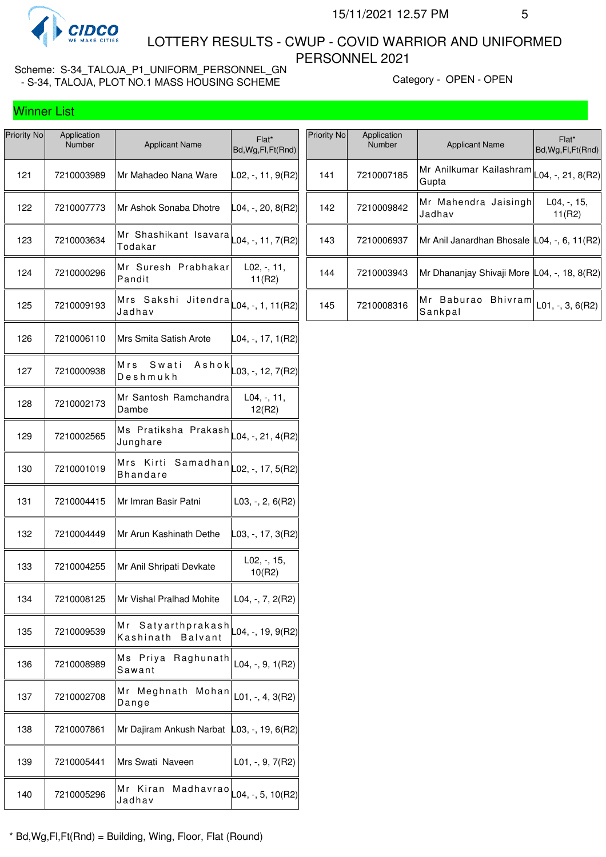

 LOTTERY RESULTS - CWUP - COVID WARRIOR AND UNIFORMED PERSONNEL 2021

Scheme: S-34\_TALOJA\_P1\_UNIFORM\_PERSONNEL\_GN - S-34, TALOJA, PLOT NO.1 MASS HOUSING SCHEME Category - OPEN - OPEN - OPEN

| Priority No | Application<br>Number | <b>Applicant Name</b>                                               | Flat*<br>Bd, Wg, Fl, Ft (Rnd)       |
|-------------|-----------------------|---------------------------------------------------------------------|-------------------------------------|
| 121         | 7210003989            | Mr Mahadeo Nana Ware                                                | ∣L02, -, 11, 9(R2)                  |
| 122         | 7210007773            | Mr Ashok Sonaba Dhotre                                              | $ L04, -, 20, 8(R2) $               |
| 123         | 7210003634            | Mr Shashikant Isavara $\vert_{\text{L04, -, 11, 7(R2)}}$<br>Todakar |                                     |
| 124         | 7210000296            | Mr Suresh Prabhakar<br>Pandit                                       | $L02, -11,$<br>11(R2)               |
| 125         | 7210009193            | Mrs<br>Sakshi<br>Jadhav                                             | Jitendra $\vert$ L04, -, 1, 11(R2)  |
| 126         | 7210006110            | Mrs Smita Satish Arote                                              | $ L04, -, 17, 1(R2) $               |
| 127         | 7210000938            | Mrs<br>Swati<br>Deshmukh                                            | A s h o k $\vert$ L03, -, 12, 7(R2) |
| 128         | 7210002173            | Mr Santosh Ramchandra<br>Dambe                                      | $L04, -11,$<br>12(R2)               |
| 129         | 7210002565            | Ms Pratiksha Prakash $\vert_{\text{L04, -, 21, 4(R2)}}$<br>Junghare |                                     |
| 130         | 7210001019            | Mrs<br>Kirti<br>Bhandare                                            | Samadhan $\vert$ L02, -, 17, 5(R2)  |
| 131         | 7210004415            | Mr Imran Basir Patni                                                | $L03, -2, 6(R2)$                    |
| 132         | 7210004449            | Mr Arun Kashinath Dethe                                             | $\vert$ L03, -, 17, 3(R2)           |
| 133         | 7210004255            | Mr Anil Shripati Devkate                                            | $L02, -15,$<br>10(R2)               |
| 134         | 7210008125            | Mr Vishal Pralhad Mohite                                            | $L04, -7, 2(R2)$                    |
| 135         | 7210009539            | Satyarthprakash<br>Мr<br>Kashinath<br><b>Balvant</b>                | L04, -, 19, 9(R2)                   |
| 136         | 7210008989            | Priya<br>Raghunath<br>Ms<br>Sawant                                  | $L04, -, 9, 1(R2)$                  |
| 137         | 7210002708            | Mr Meghnath<br>Mohan<br>Dange                                       | $L01, -, 4, 3(R2)$                  |
| 138         | 7210007861            | Mr Dajiram Ankush Narbat                                            | $ L03, -$ , 19, 6(R2)               |
| 139         | 7210005441            | Mrs Swati Naveen                                                    | $L01, -, 9, 7(R2)$                  |
| 140         | 7210005296            | Mr<br>Kiran<br>Jadhav                                               | Madhavrao $\vert$ L04, -, 5, 10(R2) |

| Priority No | Application<br><b>Number</b> | <b>Applicant Name</b>                              | Flat*<br>Bd, Wg, Fl, Ft (Rnd) |
|-------------|------------------------------|----------------------------------------------------|-------------------------------|
| 141         | 7210007185                   | Mr Anilkumar Kailashram L04, -, 21, 8(R2)<br>Gupta |                               |
| 142         | 7210009842                   | Mr Mahendra Jaisingh<br>Jadhav                     | $L04, -15,$<br>11(R2)         |
| 143         | 7210006937                   | Mr Anil Janardhan Bhosale L04, -, 6, 11(R2)        |                               |
| 144         | 7210003943                   | Mr Dhananjay Shivaji More L04, -, 18, 8(R2)        |                               |
| 145         | 7210008316                   | Baburao Bhivram<br>Mr<br>Sankpal                   | $L01, -3, 6(R2)$              |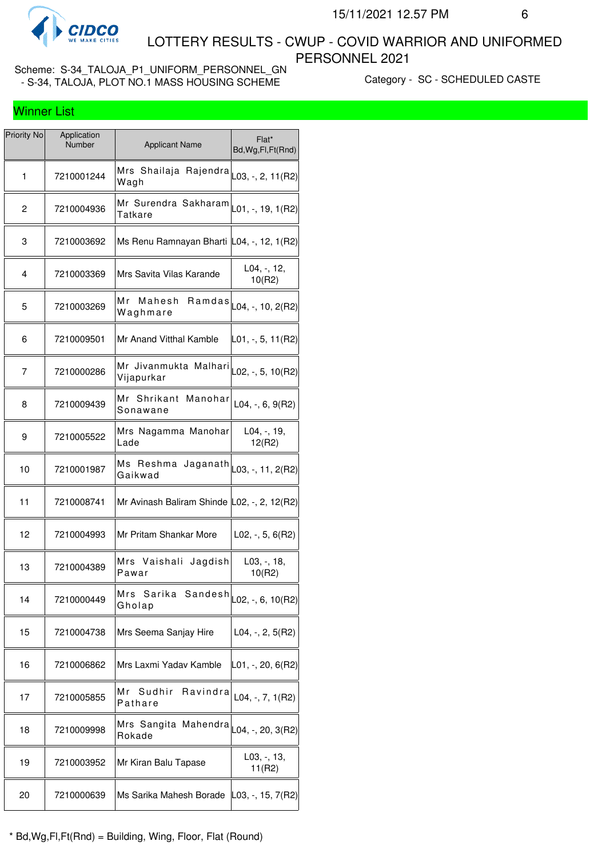

 LOTTERY RESULTS - CWUP - COVID WARRIOR AND UNIFORMED PERSONNEL 2021

Scheme: S-34\_TALOJA\_P1\_UNIFORM\_PERSONNEL\_GN - S-34, TALOJA, PLOT NO.1 MASS HOUSING SCHEME CAREGORY - SC - SCHEDULED CASTE

| Priority No | Application<br>Number | <b>Applicant Name</b>                                                       | Flat*<br>Bd, Wg, Fl, Ft (Rnd)         |
|-------------|-----------------------|-----------------------------------------------------------------------------|---------------------------------------|
| 1           | 7210001244            | Mrs Shailaja Rajendra $\vert$ L03, -, 2, 11(R2)<br>Wagh                     |                                       |
| 2           | 7210004936            | Mr Surendra Sakharam $\vert_{\text{L01},\text{-, 19, 1(R2)}}$<br>Tatkare    |                                       |
| 3           | 7210003692            | Ms Renu Ramnayan Bharti L04, -, 12, 1(R2)                                   |                                       |
| 4           | 7210003369            | Mrs Savita Vilas Karande                                                    | $L04, -12,$<br>10(R2)                 |
| 5           | 7210003269            | Мr<br>Mahesh<br>Waghmare                                                    | $Ramdas$ <sub>L04, -, 10, 2(R2)</sub> |
| 6           | 7210009501            | Mr Anand Vitthal Kamble                                                     | L01, -, 5, 11(R2)                     |
| 7           | 7210000286            | —<br>Mr Jivanmukta Malhari $\vert_{\text{L02, -, 5, 10(R2)}}$<br>Vijapurkar |                                       |
| 8           | 7210009439            | Mr Shrikant Manohar<br>Sonawane                                             | $L04, -, 6, 9(R2)$                    |
| 9           | 7210005522            | Mrs Nagamma Manohar<br>Lade                                                 | $L04, -19,$<br>12(R2)                 |
| 10          | 7210001987            | Ms Reshma Jaganath $\vert$ $_{\text{L03, -, 11, 2(R2)}}$<br>Gaikwad         |                                       |
| 11          | 7210008741            | Mr Avinash Baliram Shinde L02, -, 2, 12(R2)                                 |                                       |
| 12          | 7210004993            | Mr Pritam Shankar More                                                      | $L02, -, 5, 6(R2)$                    |
| 13          | 7210004389            | Mrs Vaishali Jagdish<br>Pawar                                               | L03, -, 18,<br>10(R2)                 |
| 14          | 7210000449            | Mrs<br>Sarika Sandesh $\vert$ L02, -, 6, 10(R2)<br>Gholap                   |                                       |
| 15          | 7210004738            | Mrs Seema Sanjay Hire                                                       | $L04, -, 2, 5(R2)$                    |
| 16          | 7210006862            | Mrs Laxmi Yadav Kamble                                                      | $ L01, -, 20, 6(R2) $                 |
| 17          | 7210005855            | Mr<br>Sudhir<br>Ravindra<br>Pathare                                         | L04, $-$ , $7$ , $1(R2)$              |
| 18          | 7210009998            | Mrs Sangita Mahendra<br>Rokade                                              | L04, -, 20, 3(R2)                     |
| 19          | 7210003952            | Mr Kiran Balu Tapase                                                        | L03, -, 13,<br>11(R2)                 |
| 20          | 7210000639            | Ms Sarika Mahesh Borade L03, -, 15, 7(R2)                                   |                                       |
|             |                       |                                                                             |                                       |